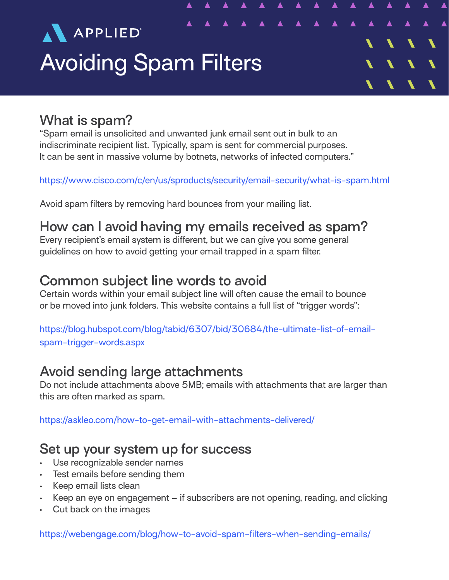

#### **What is spam?**

"Spam email is unsolicited and unwanted junk email sent out in bulk to an indiscriminate recipient list. Typically, spam is sent for commercial purposes. It can be sent in massive volume by botnets, networks of infected computers."

https://www.cisco.com/c/en/us/sproducts/security/email-security/what-is-spam.html

Avoid spam filters by removing hard bounces from your mailing list.

# **How can I avoid having my emails received as spam?**

Every recipient's email system is different, but we can give you some general guidelines on how to avoid getting your email trapped in a spam filter.

### **Common subject line words to avoid**

Certain words within your email subject line will often cause the email to bounce or be moved into junk folders. This website contains a full list of "trigger words":

https://blog.hubspot.com/blog/tabid/6307/bid/30684/the-ultimate-list-of-emailspam-trigger-words.aspx

# **Avoid sending large attachments**

Do not include attachments above 5MB; emails with attachments that are larger than this are often marked as spam.

https://askleo.com/how-to-get-email-with-attachments-delivered/

# **Set up your system up for success**

- Use recognizable sender names
- Test emails before sending them
- Keep email lists clean
- Keep an eye on engagement if subscribers are not opening, reading, and clicking
- Cut back on the images

https://webengage.com/blog/how-to-avoid-spam-filters-when-sending-emails/